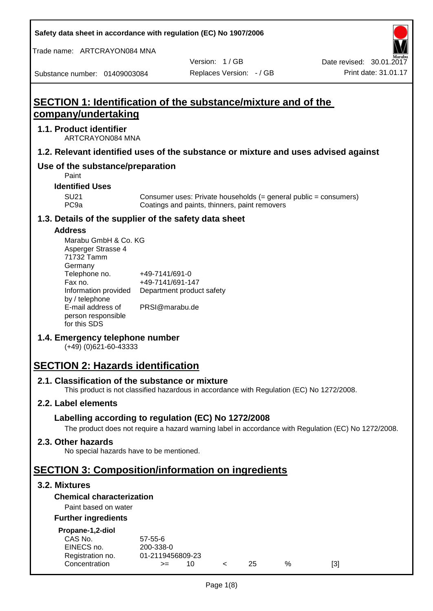**Safety data sheet in accordance with regulation (EC) No 1907/2006**

Trade name: ARTCRAYON084 MNA

Version: 1 / GB

Substance number: 01409003084

# **SECTION 1: Identification of the substance/mixture and of the company/undertaking**

## **1.1. Product identifier**

ARTCRAYON084 MNA

## **1.2. Relevant identified uses of the substance or mixture and uses advised against**

## **Use of the substance/preparation**

Paint

#### **Identified Uses**

SU21 Consumer uses: Private households (= general public = consumers)<br>PC9a Coatings and paints, thinners, paint removers Coatings and paints, thinners, paint removers

#### **1.3. Details of the supplier of the safety data sheet**

#### **Address**

| Marabu GmbH & Co. KG |                           |
|----------------------|---------------------------|
| Asperger Strasse 4   |                           |
| 71732 Tamm           |                           |
| Germany              |                           |
| Telephone no.        | +49-7141/691-0            |
| Fax no.              | +49-7141/691-147          |
| Information provided | Department product safety |
| by / telephone       |                           |
| E-mail address of    | PRSI@marabu.de            |
| person responsible   |                           |
| for this SDS         |                           |

## **1.4. Emergency telephone number**

(+49) (0)621-60-43333

# **SECTION 2: Hazards identification**

#### **2.1. Classification of the substance or mixture**

This product is not classified hazardous in accordance with Regulation (EC) No 1272/2008.

## **2.2. Label elements**

## **Labelling according to regulation (EC) No 1272/2008**

The product does not require a hazard warning label in accordance with Regulation (EC) No 1272/2008.

#### **2.3. Other hazards**

No special hazards have to be mentioned.

# **SECTION 3: Composition/information on ingredients**

## **3.2. Mixtures**

## **Chemical characterization**

## Paint based on water

#### **Further ingredients**

| Propane-1,2-diol |  |
|------------------|--|
|                  |  |

| CAS No.          | $57 - 55 - 6$    |     |    |      |     |
|------------------|------------------|-----|----|------|-----|
| EINECS no.       | 200-338-0        |     |    |      |     |
| Registration no. | 01-2119456809-23 |     |    |      |     |
| Concentration    | >≕               | 10. | 25 | $\%$ | [3] |
|                  |                  |     |    |      |     |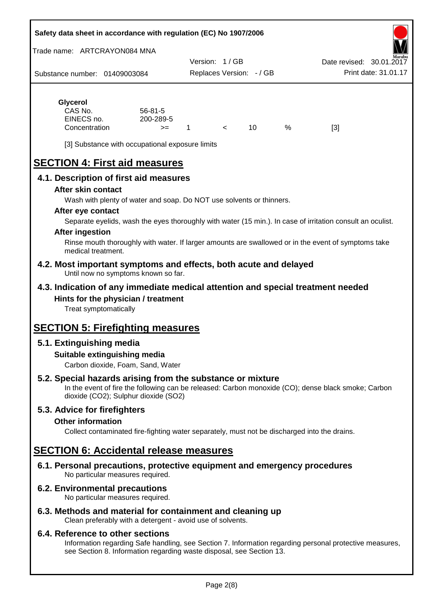| Safety data sheet in accordance with regulation (EC) No 1907/2006 |  |
|-------------------------------------------------------------------|--|
|-------------------------------------------------------------------|--|

Trade name: ARTCRAYON084 MNA

Substance number: 01409003084 Version: 1 / GB Replaces Version: - / GB Print date: 31.01.17 Date revised: 30.01.2017

# **Glycerol** CAS No. 56-81-5

| CAS No.       | $56 - 81 - 5$ |  |   |     |
|---------------|---------------|--|---|-----|
| EINECS no.    | 200-289-5     |  |   |     |
| Concentration | $>=$          |  | ℅ | [3] |

[3] Substance with occupational exposure limits

# **SECTION 4: First aid measures**

## **4.1. Description of first aid measures**

#### **After skin contact**

Wash with plenty of water and soap. Do NOT use solvents or thinners.

#### **After eye contact**

Separate eyelids, wash the eyes thoroughly with water (15 min.). In case of irritation consult an oculist.

#### **After ingestion**

Rinse mouth thoroughly with water. If larger amounts are swallowed or in the event of symptoms take medical treatment.

#### **4.2. Most important symptoms and effects, both acute and delayed** Until now no symptoms known so far.

## **4.3. Indication of any immediate medical attention and special treatment needed Hints for the physician / treatment**

Treat symptomatically

# **SECTION 5: Firefighting measures**

## **5.1. Extinguishing media**

## **Suitable extinguishing media**

Carbon dioxide, Foam, Sand, Water

## **5.2. Special hazards arising from the substance or mixture**

In the event of fire the following can be released: Carbon monoxide (CO); dense black smoke; Carbon dioxide (CO2); Sulphur dioxide (SO2)

## **5.3. Advice for firefighters**

#### **Other information**

Collect contaminated fire-fighting water separately, must not be discharged into the drains.

# **SECTION 6: Accidental release measures**

**6.1. Personal precautions, protective equipment and emergency procedures** No particular measures required.

## **6.2. Environmental precautions**

No particular measures required.

## **6.3. Methods and material for containment and cleaning up**

Clean preferably with a detergent - avoid use of solvents.

#### **6.4. Reference to other sections**

Information regarding Safe handling, see Section 7. Information regarding personal protective measures, see Section 8. Information regarding waste disposal, see Section 13.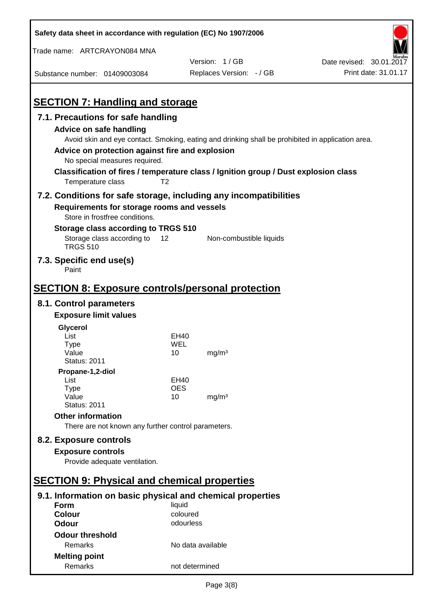| Safety data sheet in accordance with regulation (EC) No 1907/2006                                                                                 |                   |                                                                                                                                                                                          |                          |
|---------------------------------------------------------------------------------------------------------------------------------------------------|-------------------|------------------------------------------------------------------------------------------------------------------------------------------------------------------------------------------|--------------------------|
| Trade name: ARTCRAYON084 MNA                                                                                                                      |                   |                                                                                                                                                                                          |                          |
|                                                                                                                                                   |                   | Version: 1/GB                                                                                                                                                                            | Date revised: 30.01.2017 |
| Substance number: 01409003084                                                                                                                     |                   | Replaces Version: - / GB                                                                                                                                                                 | Print date: 31.01.17     |
| <b>SECTION 7: Handling and storage</b>                                                                                                            |                   |                                                                                                                                                                                          |                          |
| 7.1. Precautions for safe handling                                                                                                                |                   |                                                                                                                                                                                          |                          |
| Advice on safe handling<br>Advice on protection against fire and explosion<br>No special measures required.<br>Temperature class                  | T <sub>2</sub>    | Avoid skin and eye contact. Smoking, eating and drinking shall be prohibited in application area.<br>Classification of fires / temperature class / Ignition group / Dust explosion class |                          |
|                                                                                                                                                   |                   |                                                                                                                                                                                          |                          |
| 7.2. Conditions for safe storage, including any incompatibilities<br>Requirements for storage rooms and vessels<br>Store in frostfree conditions. |                   |                                                                                                                                                                                          |                          |
| Storage class according to TRGS 510                                                                                                               |                   |                                                                                                                                                                                          |                          |
| Storage class according to<br><b>TRGS 510</b>                                                                                                     | 12                | Non-combustible liquids                                                                                                                                                                  |                          |
| 7.3. Specific end use(s)<br>Paint                                                                                                                 |                   |                                                                                                                                                                                          |                          |
| <b>SECTION 8: Exposure controls/personal protection</b>                                                                                           |                   |                                                                                                                                                                                          |                          |
| 8.1. Control parameters                                                                                                                           |                   |                                                                                                                                                                                          |                          |
| <b>Exposure limit values</b>                                                                                                                      |                   |                                                                                                                                                                                          |                          |
| Glycerol                                                                                                                                          |                   |                                                                                                                                                                                          |                          |
| List                                                                                                                                              | EH40              |                                                                                                                                                                                          |                          |
| <b>Type</b>                                                                                                                                       | WEL               |                                                                                                                                                                                          |                          |
| Value<br><b>Status: 2011</b>                                                                                                                      | 10                | mg/m <sup>3</sup>                                                                                                                                                                        |                          |
| Propane-1,2-diol                                                                                                                                  |                   |                                                                                                                                                                                          |                          |
| List                                                                                                                                              | EH40              |                                                                                                                                                                                          |                          |
| <b>Type</b><br>Value                                                                                                                              | <b>OES</b>        |                                                                                                                                                                                          |                          |
| <b>Status: 2011</b>                                                                                                                               | 10                | mg/m <sup>3</sup>                                                                                                                                                                        |                          |
| <b>Other information</b>                                                                                                                          |                   |                                                                                                                                                                                          |                          |
| There are not known any further control parameters.                                                                                               |                   |                                                                                                                                                                                          |                          |
| 8.2. Exposure controls                                                                                                                            |                   |                                                                                                                                                                                          |                          |
| <b>Exposure controls</b>                                                                                                                          |                   |                                                                                                                                                                                          |                          |
| Provide adequate ventilation.                                                                                                                     |                   |                                                                                                                                                                                          |                          |
|                                                                                                                                                   |                   |                                                                                                                                                                                          |                          |
| <b>SECTION 9: Physical and chemical properties</b>                                                                                                |                   |                                                                                                                                                                                          |                          |
| 9.1. Information on basic physical and chemical properties                                                                                        |                   |                                                                                                                                                                                          |                          |
| <b>Form</b>                                                                                                                                       | liquid            |                                                                                                                                                                                          |                          |
| <b>Colour</b>                                                                                                                                     | coloured          |                                                                                                                                                                                          |                          |
| <b>Odour</b>                                                                                                                                      | odourless         |                                                                                                                                                                                          |                          |
| <b>Odour threshold</b>                                                                                                                            |                   |                                                                                                                                                                                          |                          |
| Remarks                                                                                                                                           | No data available |                                                                                                                                                                                          |                          |
| <b>Melting point</b><br>Remarks                                                                                                                   | not determined    |                                                                                                                                                                                          |                          |
|                                                                                                                                                   |                   |                                                                                                                                                                                          |                          |

 $\mathbf{r}$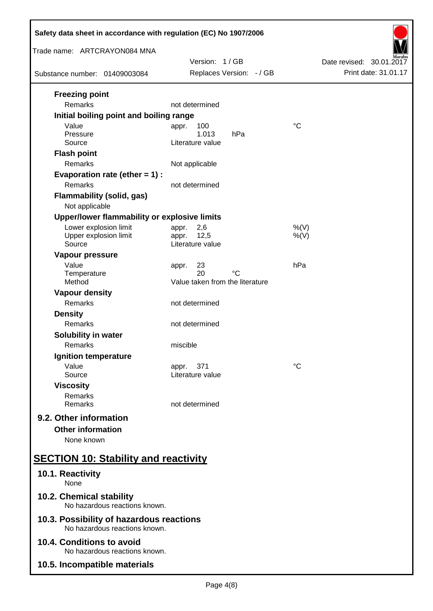| Safety data sheet in accordance with regulation (EC) No 1907/2006         |                                             |                                                  |  |  |
|---------------------------------------------------------------------------|---------------------------------------------|--------------------------------------------------|--|--|
| Trade name: ARTCRAYON084 MNA                                              |                                             |                                                  |  |  |
| Substance number: 01409003084                                             | Version: 1/GB<br>Replaces Version: - / GB   | Date revised: 30.01.2017<br>Print date: 31.01.17 |  |  |
| <b>Freezing point</b>                                                     |                                             |                                                  |  |  |
| <b>Remarks</b>                                                            | not determined                              |                                                  |  |  |
| Initial boiling point and boiling range                                   |                                             |                                                  |  |  |
| Value                                                                     | 100<br>appr.                                | $\rm ^{\circ}C$                                  |  |  |
| Pressure<br>Source                                                        | 1.013<br>hPa<br>Literature value            |                                                  |  |  |
| <b>Flash point</b>                                                        |                                             |                                                  |  |  |
| Remarks                                                                   | Not applicable                              |                                                  |  |  |
| Evaporation rate (ether $= 1$ ) :                                         |                                             |                                                  |  |  |
| <b>Remarks</b>                                                            | not determined                              |                                                  |  |  |
| <b>Flammability (solid, gas)</b>                                          |                                             |                                                  |  |  |
| Not applicable                                                            |                                             |                                                  |  |  |
| Upper/lower flammability or explosive limits                              |                                             |                                                  |  |  |
| Lower explosion limit<br>Upper explosion limit                            | 2,6<br>appr.<br>12,5<br>appr.               | %(V)<br>$%$ (V)                                  |  |  |
| Source                                                                    | Literature value                            |                                                  |  |  |
| Vapour pressure                                                           |                                             |                                                  |  |  |
| Value                                                                     | 23<br>appr.                                 | hPa                                              |  |  |
| Temperature<br>Method                                                     | 20<br>°C<br>Value taken from the literature |                                                  |  |  |
| <b>Vapour density</b>                                                     |                                             |                                                  |  |  |
| Remarks                                                                   | not determined                              |                                                  |  |  |
| <b>Density</b>                                                            |                                             |                                                  |  |  |
| Remarks                                                                   | not determined                              |                                                  |  |  |
| Solubility in water                                                       |                                             |                                                  |  |  |
| Remarks                                                                   | miscible                                    |                                                  |  |  |
| Ignition temperature                                                      |                                             |                                                  |  |  |
| Value<br>Source                                                           | 371<br>appr.<br>Literature value            | °C                                               |  |  |
| <b>Viscosity</b>                                                          |                                             |                                                  |  |  |
| Remarks                                                                   |                                             |                                                  |  |  |
| Remarks                                                                   | not determined                              |                                                  |  |  |
| 9.2. Other information                                                    |                                             |                                                  |  |  |
| <b>Other information</b>                                                  |                                             |                                                  |  |  |
| None known                                                                |                                             |                                                  |  |  |
| <b>SECTION 10: Stability and reactivity</b>                               |                                             |                                                  |  |  |
| 10.1. Reactivity<br>None                                                  |                                             |                                                  |  |  |
| 10.2. Chemical stability<br>No hazardous reactions known.                 |                                             |                                                  |  |  |
| 10.3. Possibility of hazardous reactions<br>No hazardous reactions known. |                                             |                                                  |  |  |
| 10.4. Conditions to avoid<br>No hazardous reactions known.                |                                             |                                                  |  |  |
| 10.5. Incompatible materials                                              |                                             |                                                  |  |  |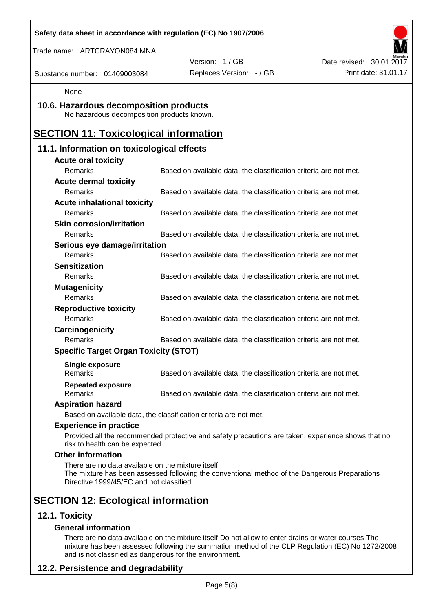| Safety data sheet in accordance with regulation (EC) No 1907/2006                              |                                                                                                    |                          |
|------------------------------------------------------------------------------------------------|----------------------------------------------------------------------------------------------------|--------------------------|
| Trade name: ARTCRAYON084 MNA                                                                   |                                                                                                    |                          |
|                                                                                                | Version: 1/GB                                                                                      | Date revised: 30.01.2017 |
| Substance number: 01409003084                                                                  | Replaces Version: - / GB                                                                           | Print date: 31.01.17     |
| None                                                                                           |                                                                                                    |                          |
| 10.6. Hazardous decomposition products<br>No hazardous decomposition products known.           |                                                                                                    |                          |
| <b>SECTION 11: Toxicological information</b>                                                   |                                                                                                    |                          |
| 11.1. Information on toxicological effects                                                     |                                                                                                    |                          |
| <b>Acute oral toxicity</b>                                                                     |                                                                                                    |                          |
| Remarks                                                                                        | Based on available data, the classification criteria are not met.                                  |                          |
| <b>Acute dermal toxicity</b>                                                                   |                                                                                                    |                          |
| Remarks                                                                                        | Based on available data, the classification criteria are not met.                                  |                          |
| <b>Acute inhalational toxicity</b>                                                             |                                                                                                    |                          |
| Remarks                                                                                        | Based on available data, the classification criteria are not met.                                  |                          |
| <b>Skin corrosion/irritation</b>                                                               |                                                                                                    |                          |
| <b>Remarks</b>                                                                                 | Based on available data, the classification criteria are not met.                                  |                          |
| Serious eye damage/irritation                                                                  |                                                                                                    |                          |
| Remarks                                                                                        | Based on available data, the classification criteria are not met.                                  |                          |
| <b>Sensitization</b><br>Remarks                                                                |                                                                                                    |                          |
|                                                                                                | Based on available data, the classification criteria are not met.                                  |                          |
| <b>Mutagenicity</b><br>Remarks                                                                 | Based on available data, the classification criteria are not met.                                  |                          |
| <b>Reproductive toxicity</b>                                                                   |                                                                                                    |                          |
| Remarks                                                                                        | Based on available data, the classification criteria are not met.                                  |                          |
| Carcinogenicity                                                                                |                                                                                                    |                          |
| Remarks                                                                                        | Based on available data, the classification criteria are not met.                                  |                          |
| <b>Specific Target Organ Toxicity (STOT)</b>                                                   |                                                                                                    |                          |
| <b>Single exposure</b>                                                                         |                                                                                                    |                          |
| <b>Remarks</b>                                                                                 | Based on available data, the classification criteria are not met.                                  |                          |
| <b>Repeated exposure</b>                                                                       |                                                                                                    |                          |
| <b>Remarks</b>                                                                                 | Based on available data, the classification criteria are not met.                                  |                          |
| <b>Aspiration hazard</b>                                                                       |                                                                                                    |                          |
|                                                                                                | Based on available data, the classification criteria are not met.                                  |                          |
| <b>Experience in practice</b>                                                                  |                                                                                                    |                          |
| risk to health can be expected.                                                                | Provided all the recommended protective and safety precautions are taken, experience shows that no |                          |
| <b>Other information</b>                                                                       |                                                                                                    |                          |
| There are no data available on the mixture itself.<br>Directive 1999/45/EC and not classified. | The mixture has been assessed following the conventional method of the Dangerous Preparations      |                          |
| <b>SECTION 12: Ecological information</b>                                                      |                                                                                                    |                          |
| 12.1. Toxicity                                                                                 |                                                                                                    |                          |
| <b>General information</b>                                                                     |                                                                                                    |                          |

There are no data available on the mixture itself.Do not allow to enter drains or water courses.The mixture has been assessed following the summation method of the CLP Regulation (EC) No 1272/2008 and is not classified as dangerous for the environment.

# **12.2. Persistence and degradability**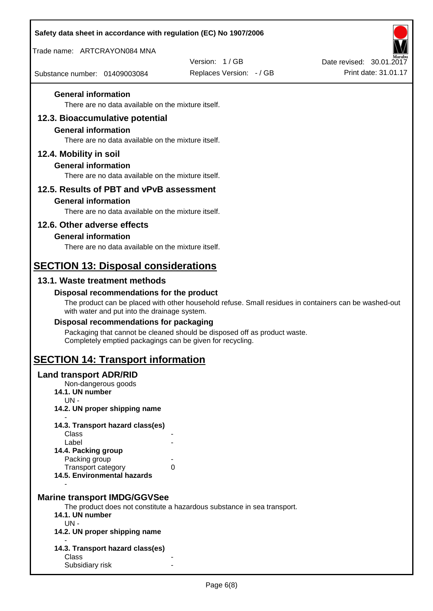| Safety data sheet in accordance with regulation (EC) No 1907/2006                |                                                                                                       |                          |
|----------------------------------------------------------------------------------|-------------------------------------------------------------------------------------------------------|--------------------------|
| Trade name: ARTCRAYON084 MNA                                                     |                                                                                                       |                          |
|                                                                                  | Version: 1/GB                                                                                         | Date revised: 30.01.2017 |
| Substance number: 01409003084                                                    | Replaces Version: - / GB                                                                              | Print date: 31.01.17     |
| <b>General information</b><br>There are no data available on the mixture itself. |                                                                                                       |                          |
|                                                                                  |                                                                                                       |                          |
| 12.3. Bioaccumulative potential<br><b>General information</b>                    |                                                                                                       |                          |
| There are no data available on the mixture itself.                               |                                                                                                       |                          |
| 12.4. Mobility in soil                                                           |                                                                                                       |                          |
| <b>General information</b>                                                       |                                                                                                       |                          |
| There are no data available on the mixture itself.                               |                                                                                                       |                          |
| 12.5. Results of PBT and vPvB assessment                                         |                                                                                                       |                          |
| <b>General information</b>                                                       |                                                                                                       |                          |
| There are no data available on the mixture itself.                               |                                                                                                       |                          |
| 12.6. Other adverse effects                                                      |                                                                                                       |                          |
| <b>General information</b><br>There are no data available on the mixture itself. |                                                                                                       |                          |
|                                                                                  |                                                                                                       |                          |
| <b>SECTION 13: Disposal considerations</b>                                       |                                                                                                       |                          |
| 13.1. Waste treatment methods                                                    |                                                                                                       |                          |
| Disposal recommendations for the product                                         | The product can be placed with other household refuse. Small residues in containers can be washed-out |                          |
| with water and put into the drainage system.                                     |                                                                                                       |                          |
| Disposal recommendations for packaging                                           |                                                                                                       |                          |
| Completely emptied packagings can be given for recycling.                        | Packaging that cannot be cleaned should be disposed off as product waste.                             |                          |
| <b>SECTION 14: Transport information</b>                                         |                                                                                                       |                          |
| <b>Land transport ADR/RID</b>                                                    |                                                                                                       |                          |
| Non-dangerous goods<br>14.1. UN number                                           |                                                                                                       |                          |
| $UN -$                                                                           |                                                                                                       |                          |
| 14.2. UN proper shipping name                                                    |                                                                                                       |                          |
| 14.3. Transport hazard class(es)                                                 |                                                                                                       |                          |
| Class<br>Label                                                                   |                                                                                                       |                          |
| 14.4. Packing group<br>Packing group                                             |                                                                                                       |                          |
| Transport category                                                               | 0                                                                                                     |                          |
| 14.5. Environmental hazards                                                      |                                                                                                       |                          |
| <b>Marine transport IMDG/GGVSee</b>                                              |                                                                                                       |                          |
|                                                                                  | The product does not constitute a hazardous substance in sea transport.                               |                          |
| 14.1. UN number<br>$UN -$                                                        |                                                                                                       |                          |
| 14.2. UN proper shipping name                                                    |                                                                                                       |                          |
| 14.3. Transport hazard class(es)                                                 |                                                                                                       |                          |
| Class                                                                            |                                                                                                       |                          |
| Subsidiary risk                                                                  |                                                                                                       |                          |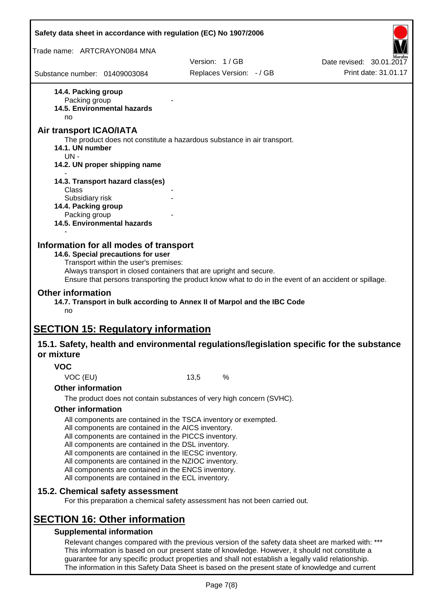| Safety data sheet in accordance with regulation (EC) No 1907/2006                                                                                                                                                                                                                                                                                                                                                                                                                             |      |                          |                          |
|-----------------------------------------------------------------------------------------------------------------------------------------------------------------------------------------------------------------------------------------------------------------------------------------------------------------------------------------------------------------------------------------------------------------------------------------------------------------------------------------------|------|--------------------------|--------------------------|
| Trade name: ARTCRAYON084 MNA                                                                                                                                                                                                                                                                                                                                                                                                                                                                  |      |                          |                          |
|                                                                                                                                                                                                                                                                                                                                                                                                                                                                                               |      | Version: 1/GB            | Date revised: 30.01.2017 |
| Substance number: 01409003084                                                                                                                                                                                                                                                                                                                                                                                                                                                                 |      | Replaces Version: - / GB | Print date: 31.01.17     |
| 14.4. Packing group<br>Packing group<br>14.5. Environmental hazards<br>no<br>Air transport ICAO/IATA                                                                                                                                                                                                                                                                                                                                                                                          |      |                          |                          |
| The product does not constitute a hazardous substance in air transport.<br>14.1. UN number<br>$UN -$                                                                                                                                                                                                                                                                                                                                                                                          |      |                          |                          |
| 14.2. UN proper shipping name                                                                                                                                                                                                                                                                                                                                                                                                                                                                 |      |                          |                          |
| 14.3. Transport hazard class(es)<br><b>Class</b>                                                                                                                                                                                                                                                                                                                                                                                                                                              |      |                          |                          |
| Subsidiary risk<br>14.4. Packing group<br>Packing group<br>14.5. Environmental hazards                                                                                                                                                                                                                                                                                                                                                                                                        |      |                          |                          |
|                                                                                                                                                                                                                                                                                                                                                                                                                                                                                               |      |                          |                          |
| Information for all modes of transport<br>14.6. Special precautions for user<br>Transport within the user's premises:<br>Always transport in closed containers that are upright and secure.<br>Ensure that persons transporting the product know what to do in the event of an accident or spillage.<br><b>Other information</b><br>14.7. Transport in bulk according to Annex II of Marpol and the IBC Code<br>no                                                                            |      |                          |                          |
| <b>SECTION 15: Regulatory information</b>                                                                                                                                                                                                                                                                                                                                                                                                                                                     |      |                          |                          |
| 15.1. Safety, health and environmental regulations/legislation specific for the substance<br>or mixture                                                                                                                                                                                                                                                                                                                                                                                       |      |                          |                          |
| <b>VOC</b>                                                                                                                                                                                                                                                                                                                                                                                                                                                                                    |      |                          |                          |
| VOC (EU)                                                                                                                                                                                                                                                                                                                                                                                                                                                                                      | 13,5 | %                        |                          |
| <b>Other information</b>                                                                                                                                                                                                                                                                                                                                                                                                                                                                      |      |                          |                          |
| The product does not contain substances of very high concern (SVHC).                                                                                                                                                                                                                                                                                                                                                                                                                          |      |                          |                          |
| <b>Other information</b><br>All components are contained in the TSCA inventory or exempted.<br>All components are contained in the AICS inventory.<br>All components are contained in the PICCS inventory.<br>All components are contained in the DSL inventory.<br>All components are contained in the IECSC inventory.<br>All components are contained in the NZIOC inventory.<br>All components are contained in the ENCS inventory.<br>All components are contained in the ECL inventory. |      |                          |                          |
| 15.2. Chemical safety assessment<br>For this preparation a chemical safety assessment has not been carried out.                                                                                                                                                                                                                                                                                                                                                                               |      |                          |                          |
| <b>SECTION 16: Other information</b><br><b>Supplemental information</b>                                                                                                                                                                                                                                                                                                                                                                                                                       |      |                          |                          |
| Relevant changes compared with the previous version of the safety data sheet are marked with: ***<br>This information is based on our present state of knowledge. However, it should not constitute a<br>guarantee for any specific product properties and shall not establish a legally valid relationship.                                                                                                                                                                                  |      |                          |                          |

The information in this Safety Data Sheet is based on the present state of knowledge and current